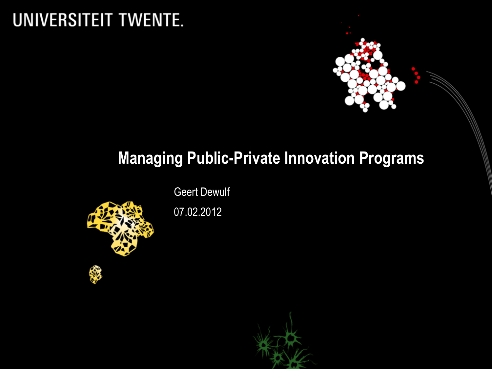## UNIVERSITEIT TWENTE.



## **Managing Public-Private Innovation Programs**

Geert Dewulf



07.02.2012

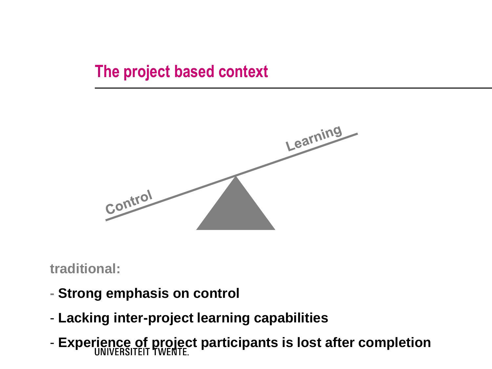## **The project based context**



**traditional:** 

- **- Strong emphasis on control**
- **Lacking inter-project learning capabilities**
- **Experience of project participants is lost after completion**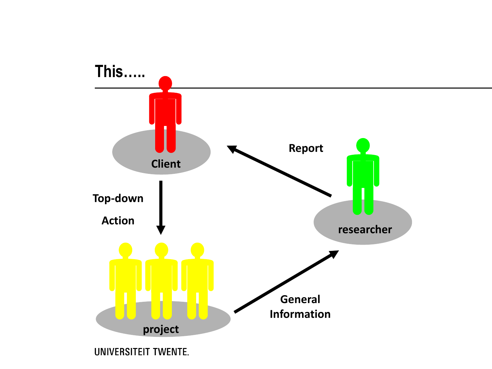

**UNIVERSITEIT TWENTE.**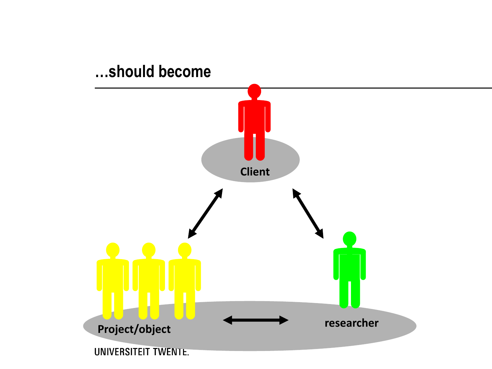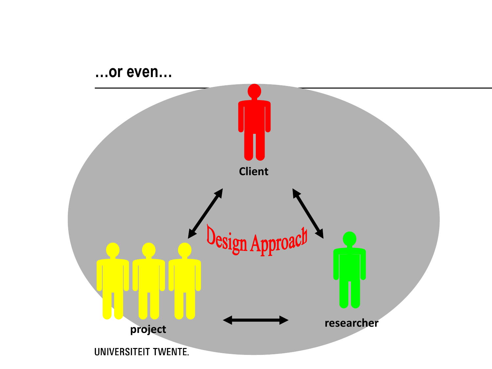#### ...or even...

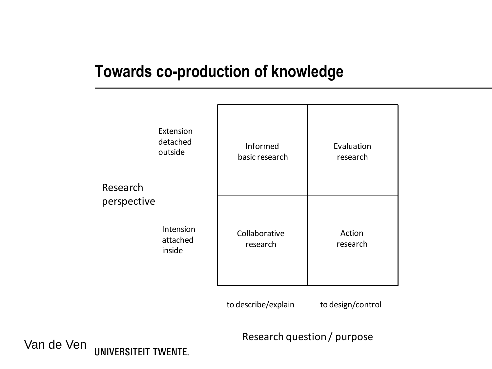## **Towards co-production of knowledge**

| Research<br>perspective | Extension<br>detached<br>outside | Informed<br>basic research | Evaluation<br>research |
|-------------------------|----------------------------------|----------------------------|------------------------|
|                         | Intension<br>attached<br>inside  | Collaborative<br>research  | Action<br>research     |

to describe/explain to design/control

Research question / purpose

#### Van de Ven**UNIVERSITEIT TWENTE.**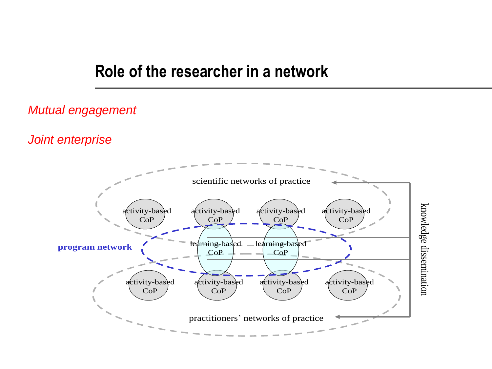### **Role of the researcher in a network**

#### *Mutual engagement*

*Joint enterprise*

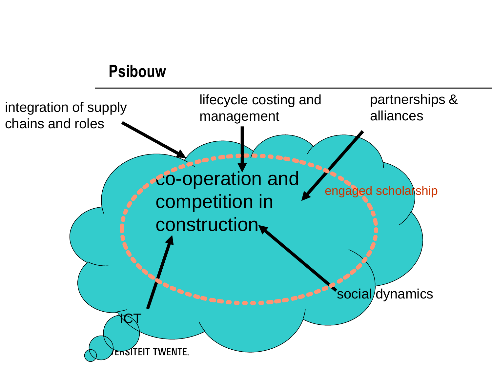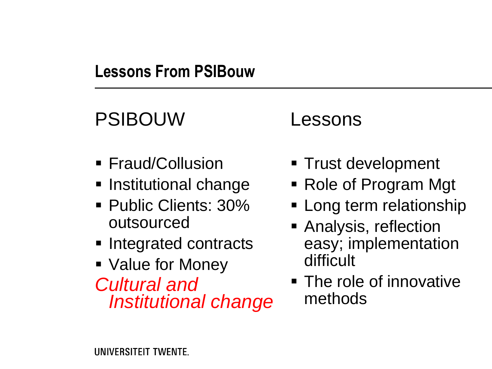## **Lessons From PSIBouw**

# PSIBOUW

- **Fraud/Collusion**
- **Institutional change**
- **Public Clients: 30%** outsourced
- **Integrated contracts**
- Value for Money *Cultural and Institutional change*

## Lessons

- Trust development
- Role of Program Mgt
- **Long term relationship**
- **Analysis, reflection** easy; implementation difficult
- The role of innovative methods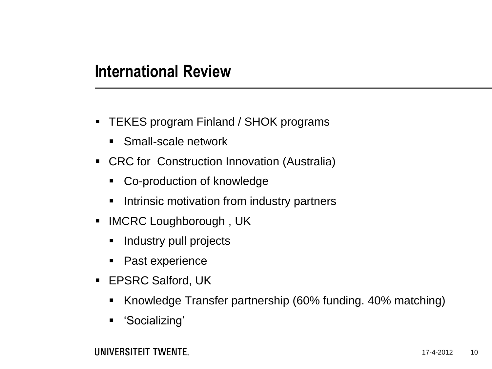## **International Review**

- TEKES program Finland / SHOK programs
	- Small-scale network
- **CRC for Construction Innovation (Australia)** 
	- Co-production of knowledge
	- **Intrinsic motivation from industry partners**
- **IMCRC Loughborough, UK** 
	- Industry pull projects
	- Past experience
- **EPSRC Salford, UK** 
	- Knowledge Transfer partnership (60% funding. 40% matching)
	- 'Socializing'

UNIVERSITEIT TWENTE.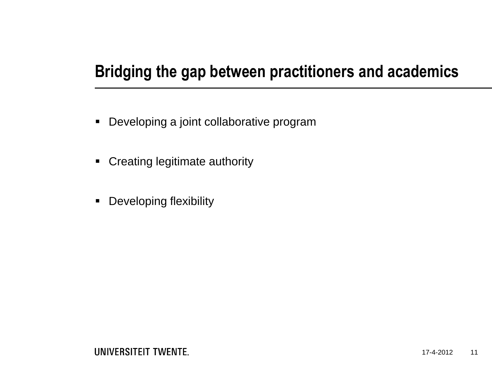## **Bridging the gap between practitioners and academics**

- Developing a joint collaborative program
- **-** Creating legitimate authority
- **-** Developing flexibility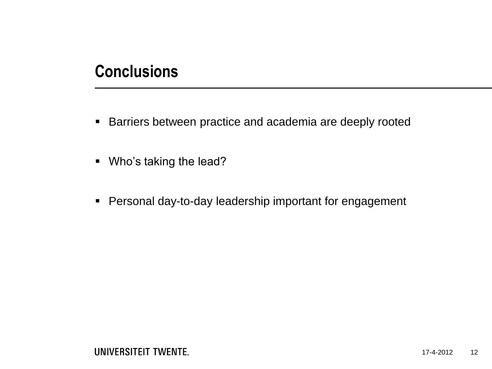## **Conclusions**

- **Barriers between practice and academia are deeply rooted**
- Who's taking the lead?
- **Personal day-to-day leadership important for engagement**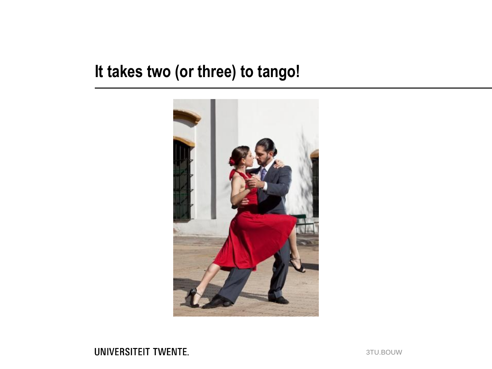## It takes two (or three) to tango!



#### **UNIVERSITEIT TWENTE.**